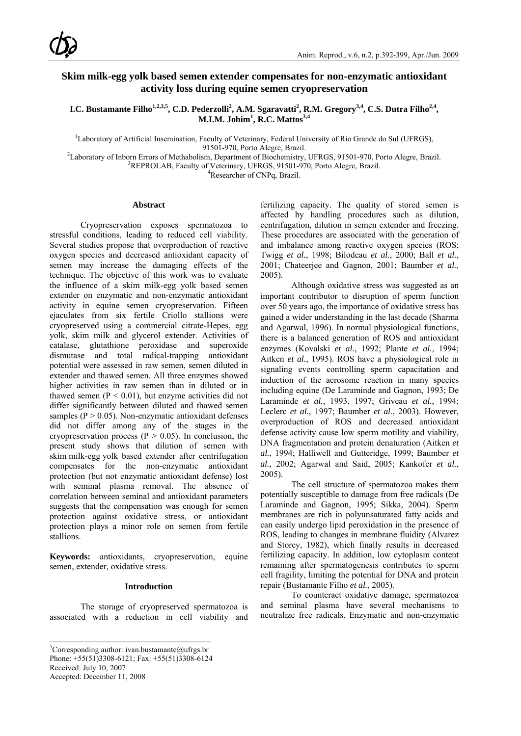## **Skim milk-egg yolk based semen extender compensates for non-enzymatic antioxidant activity loss during equine semen cryopreservation**

**I.C. Bustamante Filho<sup>1,2,3,5</sup>, C.D. Pederzolli<sup>2</sup>, A.M. Sgaravatti<sup>2</sup>, R.M. Gregory<sup>3,4</sup>, C.S. Dutra Filho<sup>2,4</sup>, M.I.M. Jobim<sup>1</sup>, R.C. Mattos**<sup>3,4</sup>

<sup>1</sup>Laboratory of Artificial Insemination, Faculty of Veterinary, Federal University of Rio Grande do Sul (UFRGS),

91501-970, Porto Alegre, Brazil.<br><sup>2</sup> charatery of Inhern Frreys of Methobolism, Department of Biochemistry.

Laboratory of Inborn Errors of Methabolism, Department of Biochemistry, UFRGS, 91501-970, Porto Alegre, Brazil.<br><sup>3</sup>PEDDOLAR Fosulty of Veterinary, UERGS, 91501-970, Porto Alegre, Prazil.

<sup>3</sup>REPROLAB, Faculty of Veterinary, UFRGS, 91501-970, Porto Alegre, Brazil.

Researcher of CNPq, Brazil.

## **Abstract**

Cryopreservation exposes spermatozoa to stressful conditions, leading to reduced cell viability. Several studies propose that overproduction of reactive oxygen species and decreased antioxidant capacity of semen may increase the damaging effects of the technique. The objective of this work was to evaluate the influence of a skim milk-egg yolk based semen extender on enzymatic and non-enzymatic antioxidant activity in equine semen cryopreservation. Fifteen ejaculates from six fertile Criollo stallions were cryopreserved using a commercial citrate-Hepes, egg yolk, skim milk and glycerol extender. Activities of catalase, glutathione peroxidase and superoxide dismutase and total radical-trapping antioxidant potential were assessed in raw semen, semen diluted in extender and thawed semen. All three enzymes showed higher activities in raw semen than in diluted or in thawed semen  $(P < 0.01)$ , but enzyme activities did not differ significantly between diluted and thawed semen samples ( $P > 0.05$ ). Non-enzymatic antioxidant defenses did not differ among any of the stages in the cryopreservation process ( $P > 0.05$ ). In conclusion, the present study shows that dilution of semen with skim milk-egg yolk based extender after centrifugation compensates for the non-enzymatic antioxidant protection (but not enzymatic antioxidant defense) lost with seminal plasma removal. The absence of correlation between seminal and antioxidant parameters suggests that the compensation was enough for semen protection against oxidative stress, or antioxidant protection plays a minor role on semen from fertile stallions.

**Keywords:** antioxidants, cryopreservation, equine semen, extender, oxidative stress.

## **Introduction**

The storage of cryopreserved spermatozoa is associated with a reduction in cell viability and

<sup>5</sup>Corresponding author: ivan.bustamante@ufrgs.br

Phone: +55(51)3308-6121; Fax: +55(51)3308-6124

 $\mathcal{L}_\text{max}$ 

Received: July 10, 2007

Accepted: December 11, 2008

fertilizing capacity. The quality of stored semen is affected by handling procedures such as dilution, centrifugation, dilution in semen extender and freezing. These procedures are associated with the generation of and imbalance among reactive oxygen species (ROS; Twigg *et al.*, 1998; Bilodeau *et al.*, 2000; Ball *et al.*, 2001; Chateerjee and Gagnon, 2001; Baumber *et al.*, 2005).

Although oxidative stress was suggested as an important contributor to disruption of sperm function over 50 years ago, the importance of oxidative stress has gained a wider understanding in the last decade (Sharma and Agarwal, 1996). In normal physiological functions, there is a balanced generation of ROS and antioxidant enzymes (Kovalski *et al.*, 1992; Plante *et al.*, 1994; Aitken *et al.*, 1995). ROS have a physiological role in signaling events controlling sperm capacitation and induction of the acrosome reaction in many species including equine (De Laraminde and Gagnon, 1993; De Laraminde *et al.*, 1993, 1997; Griveau *et al.*, 1994; Leclerc *et al.*, 1997; Baumber *et al.*, 2003). However, overproduction of ROS and decreased antioxidant defense activity cause low sperm motility and viability, DNA fragmentation and protein denaturation (Aitken *et al.*, 1994; Halliwell and Gutteridge, 1999; Baumber *et al.*, 2002; Agarwal and Said, 2005; Kankofer *et al.*, 2005).

The cell structure of spermatozoa makes them potentially susceptible to damage from free radicals (De Laraminde and Gagnon, 1995; Sikka, 2004). Sperm membranes are rich in polyunsaturated fatty acids and can easily undergo lipid peroxidation in the presence of ROS, leading to changes in membrane fluidity (Alvarez and Storey, 1982), which finally results in decreased fertilizing capacity. In addition, low cytoplasm content remaining after spermatogenesis contributes to sperm cell fragility, limiting the potential for DNA and protein repair (Bustamante Filho *et al.*, 2005).

To counteract oxidative damage, spermatozoa and seminal plasma have several mechanisms to neutralize free radicals. Enzymatic and non-enzymatic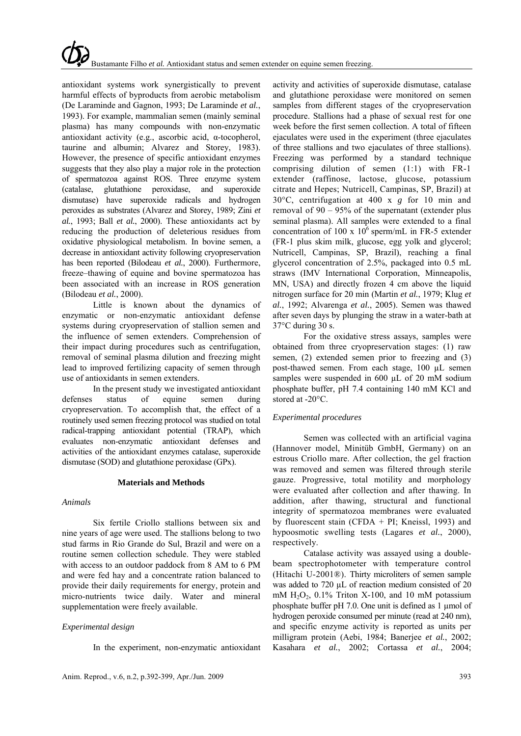antioxidant systems work synergistically to prevent harmful effects of byproducts from aerobic metabolism (De Laraminde and Gagnon, 1993; De Laraminde *et al.*, 1993). For example, mammalian semen (mainly seminal plasma) has many compounds with non-enzymatic antioxidant activity (e.g., ascorbic acid, α-tocopherol, taurine and albumin; Alvarez and Storey, 1983). However, the presence of specific antioxidant enzymes suggests that they also play a major role in the protection of spermatozoa against ROS. Three enzyme system (catalase, glutathione peroxidase, and superoxide dismutase) have superoxide radicals and hydrogen peroxides as substrates (Alvarez and Storey, 1989; Zini *et al.*, 1993; Ball *et al.*, 2000). These antioxidants act by reducing the production of deleterious residues from oxidative physiological metabolism. In bovine semen, a decrease in antioxidant activity following cryopreservation has been reported (Bilodeau *et al.*, 2000). Furthermore, freeze–thawing of equine and bovine spermatozoa has been associated with an increase in ROS generation (Bilodeau *et al.*, 2000).

Little is known about the dynamics of enzymatic or non-enzymatic antioxidant defense systems during cryopreservation of stallion semen and the influence of semen extenders. Comprehension of their impact during procedures such as centrifugation, removal of seminal plasma dilution and freezing might lead to improved fertilizing capacity of semen through use of antioxidants in semen extenders.

In the present study we investigated antioxidant defenses status of equine semen during cryopreservation. To accomplish that, the effect of a routinely used semen freezing protocol was studied on total radical-trapping antioxidant potential (TRAP), which evaluates non-enzymatic antioxidant defenses and activities of the antioxidant enzymes catalase, superoxide dismutase (SOD) and glutathione peroxidase (GPx).

## **Materials and Methods**

## *Animals*

Six fertile Criollo stallions between six and nine years of age were used. The stallions belong to two stud farms in Rio Grande do Sul, Brazil and were on a routine semen collection schedule. They were stabled with access to an outdoor paddock from 8 AM to 6 PM and were fed hay and a concentrate ration balanced to provide their daily requirements for energy, protein and micro-nutrients twice daily. Water and mineral supplementation were freely available.

## *Experimental design*

In the experiment, non-enzymatic antioxidant

activity and activities of superoxide dismutase, catalase and glutathione peroxidase were monitored on semen samples from different stages of the cryopreservation procedure. Stallions had a phase of sexual rest for one week before the first semen collection. A total of fifteen ejaculates were used in the experiment (three ejaculates of three stallions and two ejaculates of three stallions). Freezing was performed by a standard technique comprising dilution of semen (1:1) with FR-1 extender (raffinose, lactose, glucose, potassium citrate and Hepes; Nutricell, Campinas, SP, Brazil) at 30°C, centrifugation at 400 x *g* for 10 min and removal of 90 – 95% of the supernatant (extender plus seminal plasma). All samples were extended to a final concentration of 100 x  $10^6$  sperm/mL in FR-5 extender (FR-1 plus skim milk, glucose, egg yolk and glycerol; Nutricell, Campinas, SP, Brazil), reaching a final glycerol concentration of 2.5%, packaged into 0.5 mL straws (IMV International Corporation, Minneapolis, MN, USA) and directly frozen 4 cm above the liquid nitrogen surface for 20 min (Martin *et al.*, 1979; Klug *et al.*, 1992; Alvarenga *et al.*, 2005). Semen was thawed after seven days by plunging the straw in a water-bath at 37°C during 30 s.

For the oxidative stress assays, samples were obtained from three cryopreservation stages: (1) raw semen, (2) extended semen prior to freezing and (3) post-thawed semen. From each stage, 100 µL semen samples were suspended in 600 µL of 20 mM sodium phosphate buffer, pH 7.4 containing 140 mM KCl and stored at -20°C.

## *Experimental procedures*

Semen was collected with an artificial vagina (Hannover model, Minitüb GmbH, Germany) on an estrous Criollo mare. After collection, the gel fraction was removed and semen was filtered through sterile gauze. Progressive, total motility and morphology were evaluated after collection and after thawing. In addition, after thawing, structural and functional integrity of spermatozoa membranes were evaluated by fluorescent stain (CFDA + PI; Kneissl, 1993) and hypoosmotic swelling tests (Lagares *et al.*, 2000), respectively.

Catalase activity was assayed using a doublebeam spectrophotometer with temperature control (Hitachi U-2001®). Thirty microliters of semen sample was added to 720 µL of reaction medium consisted of 20 mM  $H<sub>2</sub>O<sub>2</sub>$ , 0.1% Triton X-100, and 10 mM potassium phosphate buffer pH 7.0. One unit is defined as 1 µmol of hydrogen peroxide consumed per minute (read at 240 nm), and specific enzyme activity is reported as units per milligram protein (Aebi, 1984; Banerjee *et al.*, 2002; Kasahara *et al.*, 2002; Cortassa *et al.*, 2004;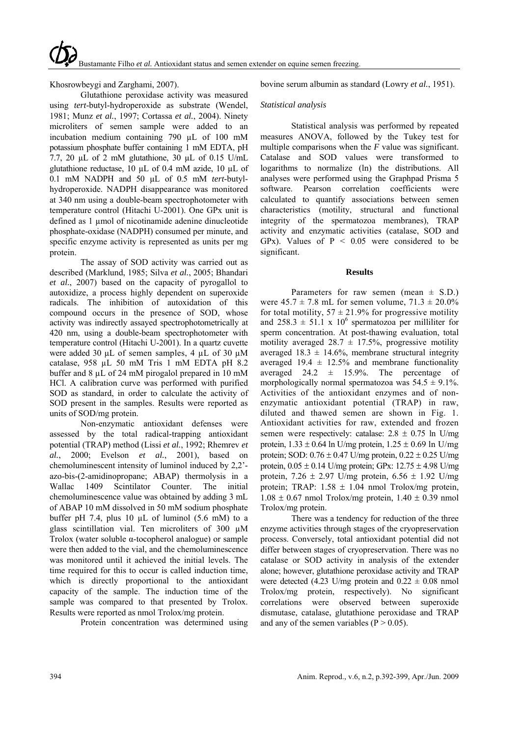Khosrowbeygi and Zarghami, 2007).

Glutathione peroxidase activity was measured using *tert*-butyl-hydroperoxide as substrate (Wendel, 1981; Munz *et al.*, 1997; Cortassa *et al.*, 2004). Ninety microliters of semen sample were added to an incubation medium containing 790 µL of 100 mM potassium phosphate buffer containing 1 mM EDTA, pH 7.7, 20 µL of 2 mM glutathione, 30 µL of 0.15 U/mL glutathione reductase, 10 µL of 0.4 mM azide, 10 µL of 0.1 mM NADPH and 50 µL of 0.5 mM *tert*-butylhydroperoxide. NADPH disappearance was monitored at 340 nm using a double-beam spectrophotometer with temperature control (Hitachi U-2001). One GPx unit is defined as 1 umol of nicotinamide adenine dinucleotide phosphate-oxidase (NADPH) consumed per minute, and specific enzyme activity is represented as units per mg protein.

The assay of SOD activity was carried out as described (Marklund, 1985; Silva *et al.*, 2005; Bhandari *et al.*, 2007) based on the capacity of pyrogallol to autoxidize, a process highly dependent on superoxide radicals. The inhibition of autoxidation of this compound occurs in the presence of SOD, whose activity was indirectly assayed spectrophotometrically at 420 nm, using a double-beam spectrophotometer with temperature control (Hitachi U-2001). In a quartz cuvette were added 30 µL of semen samples, 4 µL of 30 µM catalase, 958 µL 50 mM Tris 1 mM EDTA pH 8.2 buffer and 8 µL of 24 mM pirogalol prepared in 10 mM HCl. A calibration curve was performed with purified SOD as standard, in order to calculate the activity of SOD present in the samples. Results were reported as units of SOD/mg protein.

Non-enzymatic antioxidant defenses were assessed by the total radical-trapping antioxidant potential (TRAP) method (Lissi *et al.*, 1992; Rhemrev *et al.*, 2000; Evelson *et al.*, 2001), based on chemoluminescent intensity of luminol induced by 2,2' azo-bis-(2-amidinopropane; ABAP) thermolysis in a Wallac 1409 Scintilator Counter. The initial chemoluminescence value was obtained by adding 3 mL of ABAP 10 mM dissolved in 50 mM sodium phosphate buffer pH 7.4, plus 10  $\mu$ L of luminol (5.6 mM) to a glass scintillation vial. Ten microliters of 300 µM Trolox (water soluble α-tocopherol analogue) or sample were then added to the vial, and the chemoluminescence was monitored until it achieved the initial levels. The time required for this to occur is called induction time, which is directly proportional to the antioxidant capacity of the sample. The induction time of the sample was compared to that presented by Trolox. Results were reported as nmol Trolox/mg protein.

Protein concentration was determined using

bovine serum albumin as standard (Lowry *et al.*, 1951).

## *Statistical analysis*

Statistical analysis was performed by repeated measures ANOVA, followed by the Tukey test for multiple comparisons when the *F* value was significant. Catalase and SOD values were transformed to logarithms to normalize (ln) the distributions. All analyses were performed using the Graphpad Prisma 5 software. Pearson correlation coefficients were calculated to quantify associations between semen characteristics (motility, structural and functional integrity of the spermatozoa membranes), TRAP activity and enzymatic activities (catalase, SOD and GPx). Values of  $P < 0.05$  were considered to be significant.

### **Results**

Parameters for raw semen (mean  $\pm$  S.D.) were  $45.7 \pm 7.8$  mL for semen volume,  $71.3 \pm 20.0\%$ for total motility,  $57 \pm 21.9\%$  for progressive motility and  $258.3 \pm 51.1 \times 10^6$  spermatozoa per milliliter for sperm concentration. At post-thawing evaluation, total motility averaged  $28.7 \pm 17.5\%$ , progressive motility averaged  $18.3 \pm 14.6\%$ , membrane structural integrity averaged  $19.4 \pm 12.5\%$  and membrane functionality averaged  $24.2 \pm 15.9\%$ . The percentage of morphologically normal spermatozoa was  $54.5 \pm 9.1\%$ . Activities of the antioxidant enzymes and of nonenzymatic antioxidant potential (TRAP) in raw, diluted and thawed semen are shown in Fig. 1. Antioxidant activities for raw, extended and frozen semen were respectively: catalase:  $2.8 \pm 0.75$  ln U/mg protein,  $1.33 \pm 0.64$  ln U/mg protein,  $1.25 \pm 0.69$  ln U/mg protein; SOD:  $0.76 \pm 0.47$  U/mg protein,  $0.22 \pm 0.25$  U/mg protein,  $0.05 \pm 0.14$  U/mg protein; GPx:  $12.75 \pm 4.98$  U/mg protein,  $7.26 \pm 2.97$  U/mg protein,  $6.56 \pm 1.92$  U/mg protein; TRAP:  $1.58 \pm 1.04$  nmol Trolox/mg protein,  $1.08 \pm 0.67$  nmol Trolox/mg protein,  $1.40 \pm 0.39$  nmol Trolox/mg protein.

There was a tendency for reduction of the three enzyme activities through stages of the cryopreservation process. Conversely, total antioxidant potential did not differ between stages of cryopreservation. There was no catalase or SOD activity in analysis of the extender alone; however, glutathione peroxidase activity and TRAP were detected (4.23 U/mg protein and  $0.22 \pm 0.08$  nmol Trolox/mg protein, respectively). No significant correlations were observed between superoxide dismutase, catalase, glutathione peroxidase and TRAP and any of the semen variables  $(P > 0.05)$ .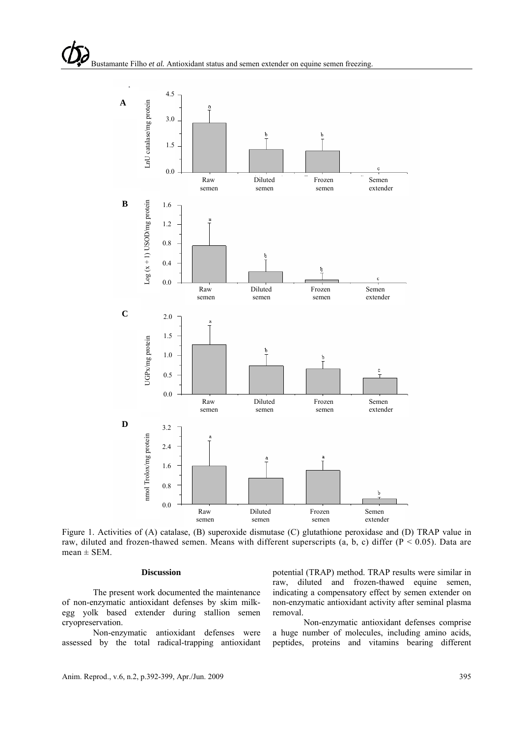

Figure 1. Activities of (A) catalase, (B) superoxide dismutase (C) glutathione peroxidase and (D) TRAP value in raw, diluted and frozen-thawed semen. Means with different superscripts (a, b, c) differ  $(P < 0.05)$ . Data are  $mean \pm SEM$ .

## **Discussion**

The present work documented the maintenance of non-enzymatic antioxidant defenses by skim milkegg yolk based extender during stallion semen cryopreservation.

Non-enzymatic antioxidant defenses were assessed by the total radical-trapping antioxidant potential (TRAP) method. TRAP results were similar in raw, diluted and frozen-thawed equine semen, indicating a compensatory effect by semen extender on non-enzymatic antioxidant activity after seminal plasma removal.

Non-enzymatic antioxidant defenses comprise a huge number of molecules, including amino acids, peptides, proteins and vitamins bearing different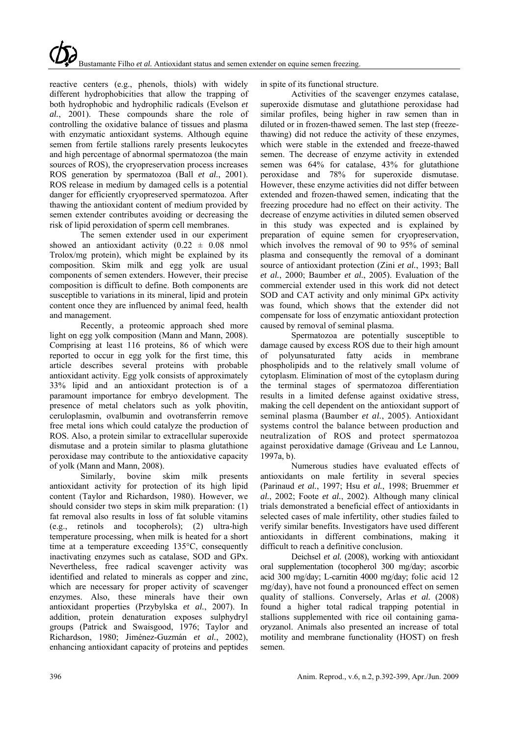reactive centers (e.g., phenols, thiols) with widely different hydrophobicities that allow the trapping of both hydrophobic and hydrophilic radicals (Evelson *et al.*, 2001). These compounds share the role of controlling the oxidative balance of tissues and plasma with enzymatic antioxidant systems. Although equine semen from fertile stallions rarely presents leukocytes and high percentage of abnormal spermatozoa (the main sources of ROS), the cryopreservation process increases ROS generation by spermatozoa (Ball *et al.*, 2001). ROS release in medium by damaged cells is a potential danger for efficiently cryopreserved spermatozoa. After thawing the antioxidant content of medium provided by semen extender contributes avoiding or decreasing the risk of lipid peroxidation of sperm cell membranes.

The semen extender used in our experiment showed an antioxidant activity  $(0.22 \pm 0.08 \text{ nmol})$ Trolox/mg protein), which might be explained by its composition. Skim milk and egg yolk are usual components of semen extenders. However, their precise composition is difficult to define. Both components are susceptible to variations in its mineral, lipid and protein content once they are influenced by animal feed, health and management.

Recently, a proteomic approach shed more light on egg yolk composition (Mann and Mann, 2008). Comprising at least 116 proteins, 86 of which were reported to occur in egg yolk for the first time, this article describes several proteins with probable antioxidant activity. Egg yolk consists of approximately 33% lipid and an antioxidant protection is of a paramount importance for embryo development. The presence of metal chelators such as yolk phovitin, ceruloplasmin, ovalbumin and ovotransferrin remove free metal ions which could catalyze the production of ROS. Also, a protein similar to extracellular superoxide dismutase and a protein similar to plasma glutathione peroxidase may contribute to the antioxidative capacity of yolk (Mann and Mann, 2008).

Similarly, bovine skim milk presents antioxidant activity for protection of its high lipid content (Taylor and Richardson, 1980). However, we should consider two steps in skim milk preparation: (1) fat removal also results in loss of fat soluble vitamins (e.g., retinols and tocopherols); (2) ultra-high temperature processing, when milk is heated for a short time at a temperature exceeding 135°C, consequently inactivating enzymes such as catalase, SOD and GPx. Nevertheless, free radical scavenger activity was identified and related to minerals as copper and zinc, which are necessary for proper activity of scavenger enzymes. Also, these minerals have their own antioxidant properties (Przybylska *et al.*, 2007). In addition, protein denaturation exposes sulphydryl groups (Patrick and Swaisgood, 1976; Taylor and Richardson, 1980; Jiménez-Guzmán *et al.*, 2002), enhancing antioxidant capacity of proteins and peptides in spite of its functional structure.

Activities of the scavenger enzymes catalase, superoxide dismutase and glutathione peroxidase had similar profiles, being higher in raw semen than in diluted or in frozen-thawed semen. The last step (freezethawing) did not reduce the activity of these enzymes, which were stable in the extended and freeze-thawed semen. The decrease of enzyme activity in extended semen was 64% for catalase, 43% for glutathione peroxidase and 78% for superoxide dismutase. However, these enzyme activities did not differ between extended and frozen-thawed semen, indicating that the freezing procedure had no effect on their activity. The decrease of enzyme activities in diluted semen observed in this study was expected and is explained by preparation of equine semen for cryopreservation, which involves the removal of 90 to 95% of seminal plasma and consequently the removal of a dominant source of antioxidant protection (Zini *et al.*, 1993; Ball *et al.*, 2000; Baumber *et al.*, 2005). Evaluation of the commercial extender used in this work did not detect SOD and CAT activity and only minimal GPx activity was found, which shows that the extender did not compensate for loss of enzymatic antioxidant protection caused by removal of seminal plasma.

Spermatozoa are potentially susceptible to damage caused by excess ROS due to their high amount of polyunsaturated fatty acids in membrane phospholipids and to the relatively small volume of cytoplasm. Elimination of most of the cytoplasm during the terminal stages of spermatozoa differentiation results in a limited defense against oxidative stress, making the cell dependent on the antioxidant support of seminal plasma (Baumber *et al.*, 2005). Antioxidant systems control the balance between production and neutralization of ROS and protect spermatozoa against peroxidative damage (Griveau and Le Lannou, 1997a, b).

Numerous studies have evaluated effects of antioxidants on male fertility in several species (Parinaud *et al.*, 1997; Hsu *et al.*, 1998; Bruemmer *et al.*, 2002; Foote *et al.*, 2002). Although many clinical trials demonstrated a beneficial effect of antioxidants in selected cases of male infertility, other studies failed to verify similar benefits. Investigators have used different antioxidants in different combinations, making it difficult to reach a definitive conclusion.

Deichsel *et al.* (2008), working with antioxidant oral supplementation (tocopherol 300 mg/day; ascorbic acid 300 mg/day; L-carnitin 4000 mg/day; folic acid 12 mg/day), have not found a pronounced effect on semen quality of stallions. Conversely, Arlas *et al.* (2008) found a higher total radical trapping potential in stallions supplemented with rice oil containing gamaoryzanol. Animals also presented an increase of total motility and membrane functionality (HOST) on fresh semen.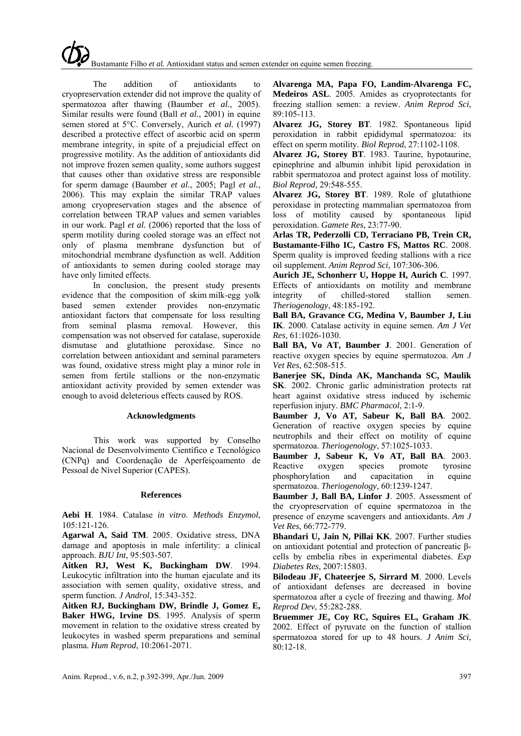The addition of antioxidants to cryopreservation extender did not improve the quality of spermatozoa after thawing (Baumber *et al.*, 2005). Similar results were found (Ball *et al.*, 2001) in equine semen stored at 5°C. Conversely, Aurich *et al.* (1997) described a protective effect of ascorbic acid on sperm membrane integrity, in spite of a prejudicial effect on progressive motility. As the addition of antioxidants did not improve frozen semen quality, some authors suggest that causes other than oxidative stress are responsible for sperm damage (Baumber *et al.*, 2005; Pagl *et al.*, 2006). This may explain the similar TRAP values among cryopreservation stages and the absence of correlation between TRAP values and semen variables in our work. Pagl *et al.* (2006) reported that the loss of sperm motility during cooled storage was an effect not only of plasma membrane dysfunction but of mitochondrial membrane dysfunction as well. Addition of antioxidants to semen during cooled storage may have only limited effects.

In conclusion, the present study presents evidence that the composition of skim milk-egg yolk based semen extender provides non-enzymatic antioxidant factors that compensate for loss resulting from seminal plasma removal. However, this compensation was not observed for catalase, superoxide dismutase and glutathione peroxidase. Since no correlation between antioxidant and seminal parameters was found, oxidative stress might play a minor role in semen from fertile stallions or the non-enzymatic antioxidant activity provided by semen extender was enough to avoid deleterious effects caused by ROS.

#### **Acknowledgments**

This work was supported by Conselho Nacional de Desenvolvimento Científico e Tecnológico (CNPq) and Coordenação de Aperfeiçoamento de Pessoal de Nível Superior (CAPES).

#### **References**

**Aebi H**. 1984. Catalase *in vitro*. *Methods Enzymol*, 105:121-126.

**Agarwal A, Said TM**. 2005. Oxidative stress, DNA damage and apoptosis in male infertility: a clinical approach. *BJU Int*, 95:503-507.

**Aitken RJ, West K, Buckingham DW**. 1994. Leukocytic infiltration into the human ejaculate and its association with semen quality, oxidative stress, and sperm function. *J Androl*, 15:343-352.

**Aitken RJ, Buckingham DW, Brindle J, Gomez E, Baker HWG, Irvine DS**. 1995. Analysis of sperm movement in relation to the oxidative stress created by leukocytes in washed sperm preparations and seminal plasma. *Hum Reprod*, 10:2061-2071.

**Alvarenga MA, Papa FO, Landim-Alvarenga FC, Medeiros ASL**. 2005. Amides as cryoprotectants for freezing stallion semen: a review. *Anim Reprod Sci*, 89:105-113.

**Alvarez JG, Storey BT**. 1982. Spontaneous lipid peroxidation in rabbit epididymal spermatozoa: its effect on sperm motility. *Biol Reprod*, 27:1102-1108.

**Alvarez JG, Storey BT**. 1983. Taurine, hypotaurine, epinephrine and albumin inhibit lipid peroxidation in rabbit spermatozoa and protect against loss of motility. *Biol Reprod*, 29:548-555.

**Alvarez JG, Storey BT**. 1989. Role of glutathione peroxidase in protecting mammalian spermatozoa from loss of motility caused by spontaneous lipid peroxidation. *Gamete Res*, 23:77-90.

**Arlas TR, Pederzolli CD, Terraciano PB, Trein CR, Bustamante-Filho IC, Castro FS, Mattos RC**. 2008. Sperm quality is improved feeding stallions with a rice oil supplement. *Anim Reprod Sci,* 107:306-306.

**Aurich JE, Schonherr U, Hoppe H, Aurich C**. 1997. Effects of antioxidants on motility and membrane integrity of chilled-stored stallion semen. of chilled-stored stallion semen. *Theriogenology*, 48:185-192.

**Ball BA, Gravance CG, Medina V, Baumber J, Liu IK**. 2000. Catalase activity in equine semen. *Am J Vet Res*, 61:1026-1030.

**Ball BA, Vo AT, Baumber J**. 2001. Generation of reactive oxygen species by equine spermatozoa. *Am J Vet Res*, 62:508-515.

**Banerjee SK, Dinda AK, Manchanda SC, Maulik SK**. 2002. Chronic garlic administration protects rat heart against oxidative stress induced by ischemic reperfusion injury. *BMC Pharmacol*, 2:1-9.

**Baumber J, Vo AT, Sabeur K, Ball BA**. 2002. Generation of reactive oxygen species by equine neutrophils and their effect on motility of equine spermatozoa. *Theriogenology*, 57:1025-1033.

**Baumber J, Sabeur K, Vo AT, Ball BA**. 2003. Reactive oxygen species promote tyrosine phosphorylation and capacitation in equine spermatozoa. *Theriogenology*, 60:1239-1247.

**Baumber J, Ball BA, Linfor J**. 2005. Assessment of the cryopreservation of equine spermatozoa in the presence of enzyme scavengers and antioxidants. *Am J Vet Res*, 66:772-779.

**Bhandari U, Jain N, Pillai KK**. 2007. Further studies on antioxidant potential and protection of pancreatic βcells by embelia ribes in experimental diabetes. *Exp Diabetes Res*, 2007:15803.

**Bilodeau JF, Chateerjee S, Sirrard M**. 2000. Levels of antioxidant defenses are decreased in bovine spermatozoa after a cycle of freezing and thawing. *Mol Reprod Dev*, 55:282-288.

**Bruemmer JE, Coy RC, Squires EL, Graham JK**. 2002. Effect of pyruvate on the function of stallion spermatozoa stored for up to 48 hours. *J Anim Sci*, 80:12-18.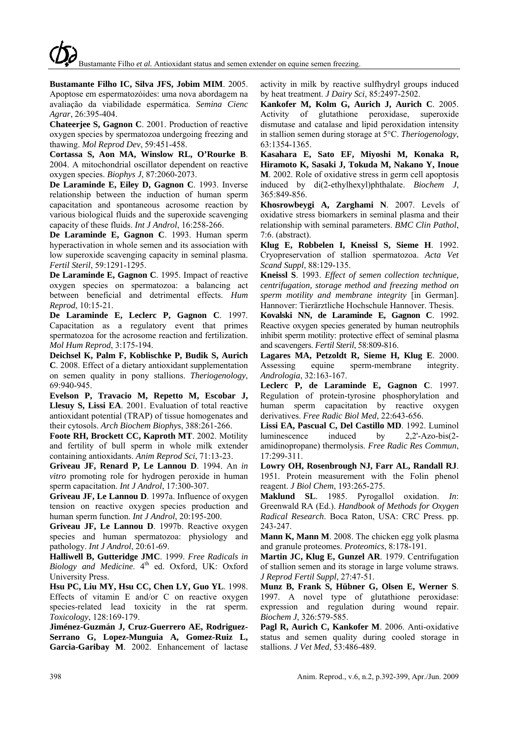**Bustamante Filho IC, Silva JFS, Jobim MIM**. 2005. Apoptose em espermatozóides: uma nova abordagem na avaliação da viabilidade espermática. *Semina Cienc Agrar*, 26:395-404.

**Chateerjee S, Gagnon C**. 2001. Production of reactive oxygen species by spermatozoa undergoing freezing and thawing. *Mol Reprod Dev*, 59:451-458.

**Cortassa S, Aon MA, Winslow RL, O'Rourke B**. 2004. A mitochondrial oscillator dependent on reactive oxygen species. *Biophys J*, 87:2060-2073.

**De Laraminde E, Eiley D, Gagnon C**. 1993. Inverse relationship between the induction of human sperm capacitation and spontaneous acrosome reaction by various biological fluids and the superoxide scavenging capacity of these fluids. *Int J Androl*, 16:258-266.

**De Laraminde E, Gagnon C**. 1993. Human sperm hyperactivation in whole semen and its association with low superoxide scavenging capacity in seminal plasma. *Fertil Steril*, 59:1291-1295.

**De Laraminde E, Gagnon C**. 1995. Impact of reactive oxygen species on spermatozoa: a balancing act between beneficial and detrimental effects. *Hum Reprod*, 10:15-21.

**De Laraminde E, Leclerc P, Gagnon C**. 1997. Capacitation as a regulatory event that primes spermatozoa for the acrosome reaction and fertilization. *Mol Hum Reprod*, 3:175-194.

**Deichsel K, Palm F, Koblischke P, Budik S, Aurich C**. 2008. Effect of a dietary antioxidant supplementation on semen quality in pony stallions. *Theriogenology,*  69:940-945.

**Evelson P, Travacio M, Repetto M, Escobar J, Llesuy S, Lissi EA**. 2001. Evaluation of total reactive antioxidant potential (TRAP) of tissue homogenates and their cytosols. *Arch Biochem Biophys*, 388:261-266.

**Foote RH, Brockett CC, Kaproth MT**. 2002. Motility and fertility of bull sperm in whole milk extender containing antioxidants. *Anim Reprod Sci*, 71:13-23.

**Griveau JF, Renard P, Le Lannou D**. 1994. An *in vitro* promoting role for hydrogen peroxide in human sperm capacitation. *Int J Androl*, 17:300-307.

**Griveau JF, Le Lannou D**. 1997a. Influence of oxygen tension on reactive oxygen species production and human sperm function. *Int J Androl*, 20:195-200.

**Griveau JF, Le Lannou D**. 1997b. Reactive oxygen species and human spermatozoa: physiology and pathology. *Int J Androl*, 20:61-69.

**Halliwell B, Gutteridge JMC**. 1999. *Free Radicals in Biology and Medicine*. 4<sup>th</sup> ed. Oxford, UK: Oxford University Press.

**Hsu PC, Liu MY, Hsu CC, Chen LY, Guo YL**. 1998. Effects of vitamin E and/or C on reactive oxygen species-related lead toxicity in the rat sperm. *Toxicology*, 128:169-179.

**Jiménez-Guzmán J, Cruz-Guerrero AE, Rodriguez-Serrano G, Lopez-Munguia A, Gomez-Ruiz L, Garcia-Garibay M**. 2002. Enhancement of lactase activity in milk by reactive sulfhydryl groups induced by heat treatment. *J Dairy Sci*, 85:2497-2502.

**Kankofer M, Kolm G, Aurich J, Aurich C**. 2005. Activity of glutathione peroxidase, superoxide dismutase and catalase and lipid peroxidation intensity in stallion semen during storage at 5°C. *Theriogenology*, 63:1354-1365.

**Kasahara E, Sato EF, Miyoshi M, Konaka R, Hiramoto K, Sasaki J, Tokuda M, Nakano Y, Inoue M**. 2002. Role of oxidative stress in germ cell apoptosis induced by di(2-ethylhexyl)phthalate. *Biochem J*, 365:849-856.

**Khosrowbeygi A, Zarghami N**. 2007. Levels of oxidative stress biomarkers in seminal plasma and their relationship with seminal parameters. *BMC Clin Pathol*, 7:6. (abstract).

**Klug E, Robbelen I, Kneissl S, Sieme H**. 1992. Cryopreservation of stallion spermatozoa. *Acta Vet Scand Suppl*, 88:129-135.

**Kneissl S**. 1993. *Effect of semen collection technique, centrifugation, storage method and freezing method on sperm motility and membrane integrity* [in German]. Hannover: Tierärztliche Hochschule Hannover. Thesis.

**Kovalski NN, de Laraminde E, Gagnon C**. 1992. Reactive oxygen species generated by human neutrophils inhibit sperm motility: protective effect of seminal plasma and scavengers. *Fertil Steril*, 58:809-816.

**Lagares MA, Petzoldt R, Sieme H, Klug E**. 2000. Assessing equine sperm-membrane integrity. *Andrologia*, 32:163-167.

**Leclerc P, de Laraminde E, Gagnon C**. 1997. Regulation of protein-tyrosine phosphorylation and human sperm capacitation by reactive oxygen derivatives. *Free Radic Biol Med*, 22:643-656.

**Lissi EA, Pascual C, Del Castillo MD**. 1992. Luminol luminescence induced by 2,2'-Azo-bis(2 amidinopropane) thermolysis. *Free Radic Res Commun*, 17:299-311.

**Lowry OH, Rosenbrough NJ, Farr AL, Randall RJ**. 1951. Protein measurement with the Folin phenol reagent. *J Biol Chem*, 193:265-275.

**Maklund SL**. 1985. Pyrogallol oxidation. *In*: Greenwald RA (Ed.). *Handbook of Methods for Oxygen Radical Research*. Boca Raton, USA: CRC Press. pp. 243-247.

**Mann K, Mann M**. 2008. The chicken egg yolk plasma and granule proteomes. *Proteomics*, 8:178-191.

**Martin JC, Klug E, Gunzel AR**. 1979. Centrifugation of stallion semen and its storage in large volume straws. *J Reprod Fertil Suppl*, 27:47-51.

**Munz B, Frank S, Hübner G, Olsen E, Werner S**. 1997. A novel type of glutathione peroxidase: expression and regulation during wound repair. *Biochem J*, 326:579-585.

**Pagl R, Aurich C, Kankofer M**. 2006. Anti-oxidative status and semen quality during cooled storage in stallions. *J Vet Med*, 53:486-489.